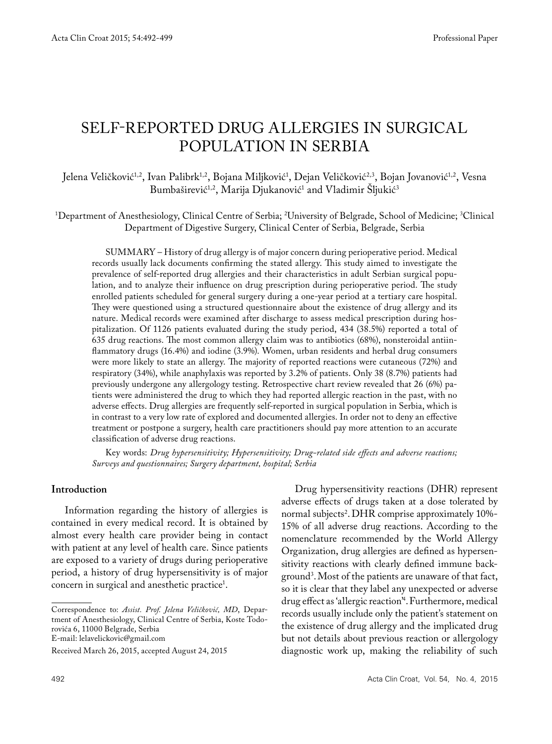# SELF-REPORTED DRUG ALLERGIES IN SURGICAL POPULATION IN SERBIA

Jelena Veličković''<sup>2</sup>, Ivan Palibrk''<sup>2</sup>, Bojana Miljković', Dejan Veličković'' "Bojan Jovanović'' "Vesna Bumbaširević<sup>1,2</sup>, Marija Djukanović<sup>1</sup> and Vladimir Sljukić<sup>3</sup>

1 Department of Anesthesiology, Clinical Centre of Serbia; 2 University of Belgrade, School of Medicine; 3 Clinical Department of Digestive Surgery, Clinical Center of Serbia, Belgrade, Serbia

SUMMARY – History of drug allergy is of major concern during perioperative period. Medical records usually lack documents confirming the stated allergy. This study aimed to investigate the prevalence of self-reported drug allergies and their characteristics in adult Serbian surgical population, and to analyze their influence on drug prescription during perioperative period. The study enrolled patients scheduled for general surgery during a one-year period at a tertiary care hospital. They were questioned using a structured questionnaire about the existence of drug allergy and its nature. Medical records were examined after discharge to assess medical prescription during hospitalization. Of 1126 patients evaluated during the study period, 434 (38.5%) reported a total of 635 drug reactions. The most common allergy claim was to antibiotics (68%), nonsteroidal antiinflammatory drugs (16.4%) and iodine (3.9%). Women, urban residents and herbal drug consumers were more likely to state an allergy. The majority of reported reactions were cutaneous (72%) and respiratory (34%), while anaphylaxis was reported by 3.2% of patients. Only 38 (8.7%) patients had previously undergone any allergology testing. Retrospective chart review revealed that 26 (6%) patients were administered the drug to which they had reported allergic reaction in the past, with no adverse effects. Drug allergies are frequently self-reported in surgical population in Serbia, which is in contrast to a very low rate of explored and documented allergies. In order not to deny an effective treatment or postpone a surgery, health care practitioners should pay more attention to an accurate classification of adverse drug reactions.

Key words: *Drug hypersensitivity; Hypersensitivity; Drug-related side effects and adverse reactions; Surveys and questionnaires; Surgery department, hospital; Serbia*

#### **Introduction**

Information regarding the history of allergies is contained in every medical record. It is obtained by almost every health care provider being in contact with patient at any level of health care. Since patients are exposed to a variety of drugs during perioperative period, a history of drug hypersensitivity is of major concern in surgical and anesthetic practice<sup>1</sup>.

E-mail: lelavelickovic@gmail.com

Drug hypersensitivity reactions (DHR) represent adverse effects of drugs taken at a dose tolerated by normal subjects<sup>2</sup>. DHR comprise approximately 10%-15% of all adverse drug reactions. According to the nomenclature recommended by the World Allergy Organization, drug allergies are defined as hypersensitivity reactions with clearly defined immune background3 .Most of the patients are unaware of that fact, so it is clear that they label any unexpected or adverse drug effect as 'allergic reaction'4 .Furthermore, medical records usually include only the patient's statement on the existence of drug allergy and the implicated drug but not details about previous reaction or allergology diagnostic work up, making the reliability of such

Correspondence to: *Assist. Prof. Jelena Veličković, MD*, Department of Anesthesiology, Clinical Centre of Serbia, Koste Todorovića 6, 11000 Belgrade, Serbia

Received March 26, 2015, accepted August 24, 2015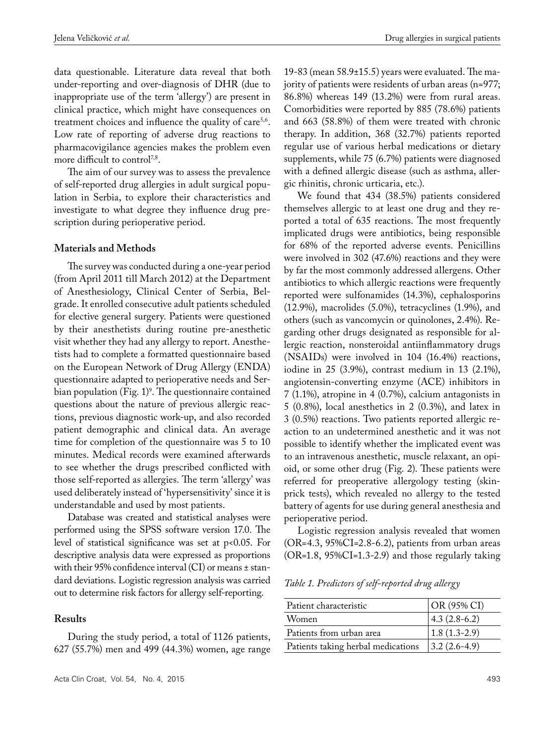data questionable. Literature data reveal that both under-reporting and over-diagnosis of DHR (due to inappropriate use of the term 'allergy') are present in clinical practice, which might have consequences on treatment choices and influence the quality of care<sup>5,6</sup>. Low rate of reporting of adverse drug reactions to pharmacovigilance agencies makes the problem even more difficult to control<sup>7,8</sup>.

The aim of our survey was to assess the prevalence of self-reported drug allergies in adult surgical population in Serbia, to explore their characteristics and investigate to what degree they influence drug prescription during perioperative period.

#### **Materials and Methods**

The survey was conducted during a one-year period (from April 2011 till March 2012) at the Department of Anesthesiology, Clinical Center of Serbia, Belgrade. It enrolled consecutive adult patients scheduled for elective general surgery. Patients were questioned by their anesthetists during routine pre-anesthetic visit whether they had any allergy to report. Anesthetists had to complete a formatted questionnaire based on the European Network of Drug Allergy (ENDA) questionnaire adapted to perioperative needs and Serbian population (Fig. 1)<sup>9</sup>. The questionnaire contained questions about the nature of previous allergic reactions, previous diagnostic work-up, and also recorded patient demographic and clinical data. An average time for completion of the questionnaire was 5 to 10 minutes. Medical records were examined afterwards to see whether the drugs prescribed conflicted with those self-reported as allergies. The term 'allergy' was used deliberately instead of 'hypersensitivity' since it is understandable and used by most patients.

Database was created and statistical analyses were performed using the SPSS software version 17.0. The level of statistical significance was set at p<0.05. For descriptive analysis data were expressed as proportions with their 95% confidence interval (CI) or means ± standard deviations. Logistic regression analysis was carried out to determine risk factors for allergy self-reporting.

### **Results**

During the study period, a total of 1126 patients, 627 (55.7%) men and 499 (44.3%) women, age range 19-83 (mean 58.9±15.5) years were evaluated. The majority of patients were residents of urban areas (n=977; 86.8%) whereas 149 (13.2%) were from rural areas. Comorbidities were reported by 885 (78.6%) patients and 663 (58.8%) of them were treated with chronic therapy. In addition, 368 (32.7%) patients reported regular use of various herbal medications or dietary supplements, while 75 (6.7%) patients were diagnosed with a defined allergic disease (such as asthma, allergic rhinitis, chronic urticaria, etc.).

We found that 434 (38.5%) patients considered themselves allergic to at least one drug and they reported a total of 635 reactions. The most frequently implicated drugs were antibiotics, being responsible for 68% of the reported adverse events. Penicillins were involved in 302 (47.6%) reactions and they were by far the most commonly addressed allergens. Other antibiotics to which allergic reactions were frequently reported were sulfonamides (14.3%), cephalosporins (12.9%), macrolides (5.0%), tetracyclines (1.9%), and others (such as vancomycin or quinolones, 2.4%). Regarding other drugs designated as responsible for allergic reaction, nonsteroidal antiinflammatory drugs (NSAIDs) were involved in 104 (16.4%) reactions, iodine in 25 (3.9%), contrast medium in 13 (2.1%), angiotensin-converting enzyme (ACE) inhibitors in 7 (1.1%), atropine in 4 (0.7%), calcium antagonists in 5 (0.8%), local anesthetics in 2 (0.3%), and latex in 3 (0.5%) reactions. Two patients reported allergic reaction to an undetermined anesthetic and it was not possible to identify whether the implicated event was to an intravenous anesthetic, muscle relaxant, an opioid, or some other drug (Fig. 2). These patients were referred for preoperative allergology testing (skinprick tests), which revealed no allergy to the tested battery of agents for use during general anesthesia and perioperative period.

Logistic regression analysis revealed that women (OR=4.3, 95%CI=2.8-6.2), patients from urban areas (OR=1.8, 95%CI=1.3-2.9) and those regularly taking

*Table 1. Predictors of self-reported drug allergy*

| Patient characteristic             | $OR (95\% CI)$ |
|------------------------------------|----------------|
| Women                              | $4.3(2.8-6.2)$ |
| Patients from urban area           | $1.8(1.3-2.9)$ |
| Patients taking herbal medications | $3.2(2.6-4.9)$ |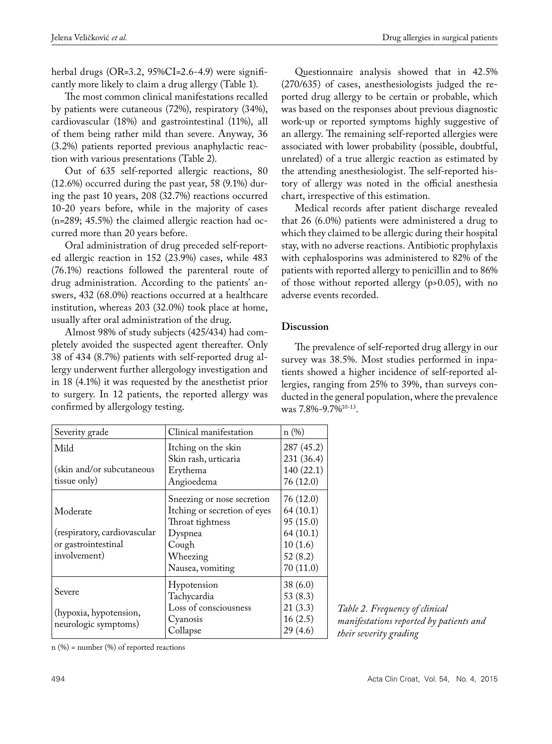herbal drugs (OR=3.2, 95%CI=2.6-4.9) were significantly more likely to claim a drug allergy (Table 1).

The most common clinical manifestations recalled by patients were cutaneous (72%), respiratory (34%), cardiovascular (18%) and gastrointestinal (11%), all of them being rather mild than severe. Anyway, 36 (3.2%) patients reported previous anaphylactic reaction with various presentations (Table 2).

Out of 635 self-reported allergic reactions, 80 (12.6%) occurred during the past year, 58 (9.1%) during the past 10 years, 208 (32.7%) reactions occurred 10-20 years before, while in the majority of cases (n=289; 45.5%) the claimed allergic reaction had occurred more than 20 years before.

Oral administration of drug preceded self-reported allergic reaction in 152 (23.9%) cases, while 483 (76.1%) reactions followed the parenteral route of drug administration. According to the patients' answers, 432 (68.0%) reactions occurred at a healthcare institution, whereas 203 (32.0%) took place at home, usually after oral administration of the drug.

Almost 98% of study subjects (425/434) had completely avoided the suspected agent thereafter. Only 38 of 434 (8.7%) patients with self-reported drug allergy underwent further allergology investigation and in 18 (4.1%) it was requested by the anesthetist prior to surgery. In 12 patients, the reported allergy was confirmed by allergology testing.

| Severity grade                                 | Clinical manifestation       | n(%)       |
|------------------------------------------------|------------------------------|------------|
| Mild                                           | Itching on the skin          | 287 (45.2) |
|                                                | Skin rash, urticaria         | 231 (36.4) |
| (skin and/or subcutaneous                      | Erythema                     | 140 (22.1) |
| tissue only)                                   | Angioedema                   | 76(12.0)   |
|                                                | Sneezing or nose secretion   | 76(12.0)   |
| Moderate                                       | Itching or secretion of eyes | 64(10.1)   |
|                                                | Throat tightness             | 95(15.0)   |
| (respiratory, cardiovascular                   | Dyspnea                      | 64(10.1)   |
| or gastrointestinal                            | Cough                        | 10(1.6)    |
| involvement)                                   | Wheezing                     | 52(8.2)    |
|                                                | Nausea, vomiting             | 70(11.0)   |
| Severe                                         | Hypotension                  | 38(6.0)    |
|                                                | Tachycardia                  | 53 $(8.3)$ |
|                                                | Loss of consciousness        | 21(3.3)    |
| (hypoxia, hypotension,<br>neurologic symptoms) | Cyanosis                     | 16(2.5)    |
|                                                | Collapse                     | 29(4.6)    |

Questionnaire analysis showed that in 42.5% (270/635) of cases, anesthesiologists judged the reported drug allergy to be certain or probable, which was based on the responses about previous diagnostic work-up or reported symptoms highly suggestive of an allergy. The remaining self-reported allergies were associated with lower probability (possible, doubtful, unrelated) of a true allergic reaction as estimated by the attending anesthesiologist. The self-reported history of allergy was noted in the official anesthesia chart, irrespective of this estimation.

Medical records after patient discharge revealed that 26 (6.0%) patients were administered a drug to which they claimed to be allergic during their hospital stay, with no adverse reactions. Antibiotic prophylaxis with cephalosporins was administered to 82% of the patients with reported allergy to penicillin and to 86% of those without reported allergy (p>0.05), with no adverse events recorded.

# **Discussion**

The prevalence of self-reported drug allergy in our survey was 38.5%. Most studies performed in inpatients showed a higher incidence of self-reported allergies, ranging from 25% to 39%, than surveys conducted in the general population, where the prevalence was 7.8%-9.7%10-13.

> *Table 2. Frequency of clinical manifestations reported by patients and their severity grading*

 $n$  (%) = number (%) of reported reactions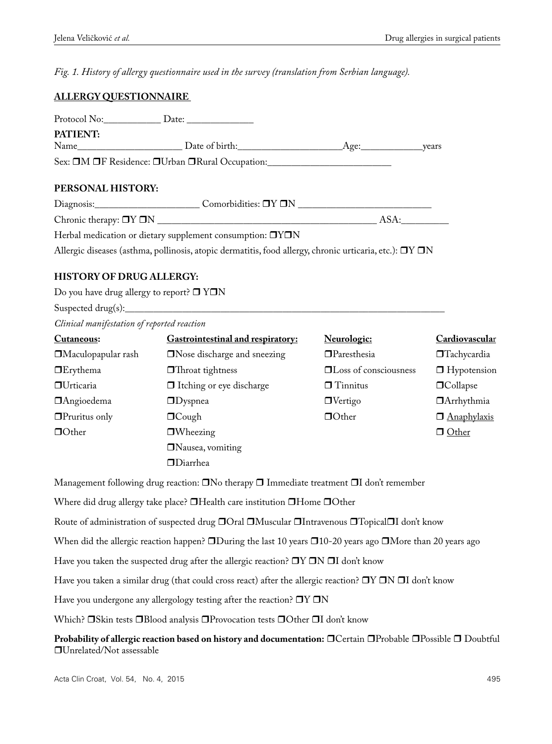*Fig. 1. History of allergy questionnaire used in the survey (translation from Serbian language).*

# **ALLERGY QUESTIONNAIRE**

| Protocol No:                                    | Date:          |      |       |
|-------------------------------------------------|----------------|------|-------|
| <b>PATIENT:</b>                                 |                |      |       |
| Name                                            | Date of birth: | Age: | vears |
| Sex: OM OF Residence: OUrban ORural Occupation: |                |      |       |

# **PERSONAL HISTORY:**

| Diagnosis:                                                       | Comorbidities: $\Box Y \Box N$ |     |
|------------------------------------------------------------------|--------------------------------|-----|
| Chronic therapy: $\Box Y \Box N$                                 |                                | ASA |
| Herbal medication or dietary supplement consumption: <b>OYON</b> |                                |     |

Allergic diseases (asthma, pollinosis, atopic dermatitis, food allergy, chronic urticaria, etc.):  $\Box Y \Box N$ 

# **HISTORY OF DRUG ALLERGY:**

Do you have drug allergy to report?  $\square$   $Y\square N$ 

Suspected drug $(s)$ :

*Clinical manifestation of reported reaction*

| Cutaneous:                | <b>Gastrointestinal and respiratory:</b> | Neurologic:                  | Cardiovascular     |
|---------------------------|------------------------------------------|------------------------------|--------------------|
| $\Box$ Maculopapular rash | $\Box$ Nose discharge and sneezing       | $\Box$ Paresthesia           | $\Box$ Tachycardia |
| $\Box$ Erythema           | $\Box$ Throat tightness                  | $\Box$ Loss of consciousness | $\Box$ Hypotension |
| <b>OU</b> rticaria        | $\Box$ Itching or eye discharge          | $\Box$ Tinnitus              | $\Box$ Collapse    |
| <b>Angioedema</b>         | $\Box$ Dyspnea                           | $\Box$ Vertigo               | $\Box$ Arrhythmia  |
| $\Box$ Pruritus only      | $\Box$ Cough                             | $\Box$ Other                 | <b>Anaphylaxis</b> |
| $\Box$ Other              | $\Box$ Wheezing                          |                              | □ Other            |
|                           | $\Box$ Nausea, vomiting                  |                              |                    |
|                           | $\Box$ Diarrhea                          |                              |                    |

Management following drug reaction:  $\Box$  No therapy  $\Box$  Immediate treatment  $\Box$ I don't remember

Where did drug allergy take place?  $\Box$  Health care institution  $\Box$  Home  $\Box$  Other

Route of administration of suspected drug  $\Box$  Oral  $\Box$ Muscular  $\Box$ Intravenous  $\Box$ Topical $\Box$ I don't know

When did the allergic reaction happen?  $\square$ During the last 10 years  $\square$ 10-20 years ago  $\square$ More than 20 years ago

Have you taken the suspected drug after the allergic reaction?  $\Box Y \Box N \Box I$  don't know

Have you taken a similar drug (that could cross react) after the allergic reaction?  $\Box Y \Box N \Box I$  don't know

Have you undergone any allergology testing after the reaction?  $\Box Y \Box N$ 

Which? OSkin tests OBlood analysis OProvocation tests OOther OI don't know

**Probability of allergic reaction based on history and documentation:** O Certain O Probable O Possible O Doubtful Unrelated/Not assessable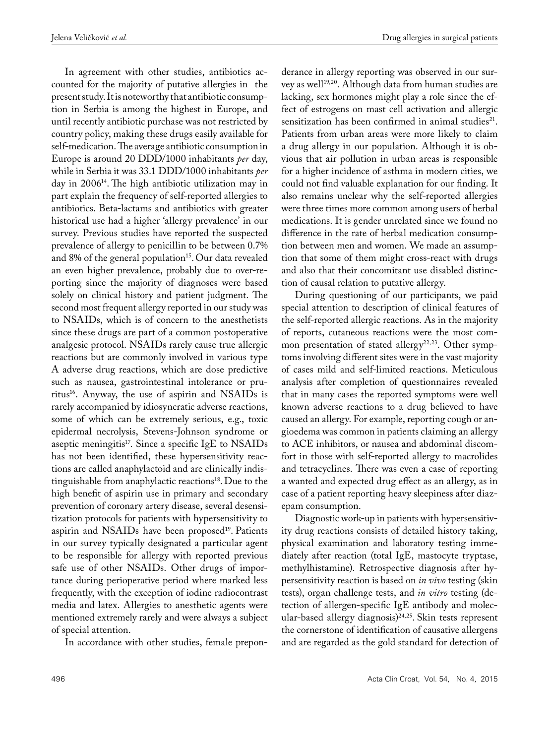In agreement with other studies, antibiotics accounted for the majority of putative allergies in the present study. It is noteworthy that antibiotic consumption in Serbia is among the highest in Europe, and until recently antibiotic purchase was not restricted by country policy, making these drugs easily available for self-medication. The average antibiotic consumption in Europe is around 20 DDD/1000 inhabitants *per* day, while in Serbia it was 33.1 DDD/1000 inhabitants *per* day in 2006<sup>14</sup>. The high antibiotic utilization may in part explain the frequency of self-reported allergies to antibiotics. Beta-lactams and antibiotics with greater historical use had a higher 'allergy prevalence' in our survey. Previous studies have reported the suspected prevalence of allergy to penicillin to be between 0.7% and 8% of the general population<sup>15</sup>. Our data revealed an even higher prevalence, probably due to over-reporting since the majority of diagnoses were based solely on clinical history and patient judgment. The second most frequent allergy reported in our study was to NSAIDs, which is of concern to the anesthetists since these drugs are part of a common postoperative analgesic protocol. NSAIDs rarely cause true allergic reactions but are commonly involved in various type A adverse drug reactions, which are dose predictive such as nausea, gastrointestinal intolerance or pruritus16. Anyway, the use of aspirin and NSAIDs is rarely accompanied by idiosyncratic adverse reactions, some of which can be extremely serious, e.g., toxic epidermal necrolysis, Stevens-Johnson syndrome or aseptic meningitis<sup>17</sup>. Since a specific IgE to  $NSAIDs$ has not been identified, these hypersensitivity reactions are called anaphylactoid and are clinically indistinguishable from anaphylactic reactions<sup>18</sup>. Due to the high benefit of aspirin use in primary and secondary prevention of coronary artery disease, several desensitization protocols for patients with hypersensitivity to aspirin and NSAIDs have been proposed<sup>19</sup>. Patients in our survey typically designated a particular agent to be responsible for allergy with reported previous safe use of other NSAIDs. Other drugs of importance during perioperative period where marked less frequently, with the exception of iodine radiocontrast media and latex. Allergies to anesthetic agents were mentioned extremely rarely and were always a subject of special attention.

In accordance with other studies, female prepon-

derance in allergy reporting was observed in our survey as well<sup>19,20</sup>. Although data from human studies are lacking, sex hormones might play a role since the effect of estrogens on mast cell activation and allergic sensitization has been confirmed in animal studies $21$ . Patients from urban areas were more likely to claim a drug allergy in our population. Although it is obvious that air pollution in urban areas is responsible for a higher incidence of asthma in modern cities, we could not find valuable explanation for our finding. It also remains unclear why the self-reported allergies were three times more common among users of herbal medications. It is gender unrelated since we found no difference in the rate of herbal medication consumption between men and women. We made an assumption that some of them might cross-react with drugs and also that their concomitant use disabled distinction of causal relation to putative allergy.

During questioning of our participants, we paid special attention to description of clinical features of the self-reported allergic reactions. As in the majority of reports, cutaneous reactions were the most common presentation of stated allergy<sup>22,23</sup>. Other symptoms involving different sites were in the vast majority of cases mild and self-limited reactions. Meticulous analysis after completion of questionnaires revealed that in many cases the reported symptoms were well known adverse reactions to a drug believed to have caused an allergy. For example, reporting cough or angioedema was common in patients claiming an allergy to ACE inhibitors, or nausea and abdominal discomfort in those with self-reported allergy to macrolides and tetracyclines. There was even a case of reporting a wanted and expected drug effect as an allergy, as in case of a patient reporting heavy sleepiness after diazepam consumption.

Diagnostic work-up in patients with hypersensitivity drug reactions consists of detailed history taking, physical examination and laboratory testing immediately after reaction (total IgE, mastocyte tryptase, methylhistamine). Retrospective diagnosis after hypersensitivity reaction is based on *in vivo* testing (skin tests), organ challenge tests, and *in vitro* testing (detection of allergen-specific IgE antibody and molecular-based allergy diagnosis)<sup>24,25</sup>. Skin tests represent the cornerstone of identification of causative allergens and are regarded as the gold standard for detection of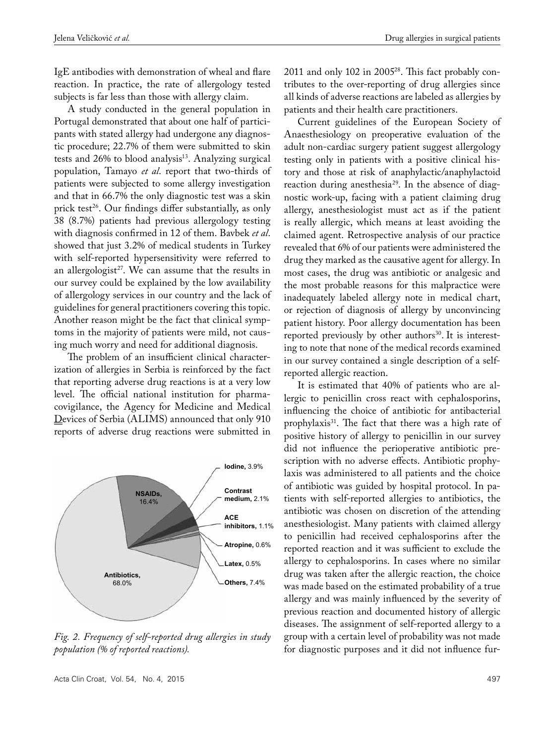IgE antibodies with demonstration of wheal and flare reaction. In practice, the rate of allergology tested subjects is far less than those with allergy claim.

A study conducted in the general population in Portugal demonstrated that about one half of participants with stated allergy had undergone any diagnostic procedure; 22.7% of them were submitted to skin tests and 26% to blood analysis<sup>13</sup>. Analyzing surgical population, Tamayo *et al*. report that two-thirds of patients were subjected to some allergy investigation and that in 66.7% the only diagnostic test was a skin prick test<sup>26</sup>. Our findings differ substantially, as only 38 (8.7%) patients had previous allergology testing with diagnosis confirmed in 12 of them. Bavbek *et al*. showed that just 3.2% of medical students in Turkey with self-reported hypersensitivity were referred to an allergologist<sup>27</sup>. We can assume that the results in our survey could be explained by the low availability of allergology services in our country and the lack of guidelines for general practitioners covering this topic. Another reason might be the fact that clinical symptoms in the majority of patients were mild, not causing much worry and need for additional diagnosis.

The problem of an insufficient clinical characterization of allergies in Serbia is reinforced by the fact that reporting adverse drug reactions is at a very low level. The official national institution for pharmacovigilance, the Agency for Medicine and Medical Devices of Serbia (ALIMS) announced that only 910 reports of adverse drug reactions were submitted in



*Fig. 2. Frequency of self-reported drug allergies in study population (% of reported reactions).*

2011 and only 102 in 200528. This fact probably contributes to the over-reporting of drug allergies since all kinds of adverse reactions are labeled as allergies by patients and their health care practitioners.

Current guidelines of the European Society of Anaesthesiology on preoperative evaluation of the adult non-cardiac surgery patient suggest allergology testing only in patients with a positive clinical history and those at risk of anaphylactic/anaphylactoid reaction during anesthesia<sup>29</sup>. In the absence of diagnostic work-up, facing with a patient claiming drug allergy, anesthesiologist must act as if the patient is really allergic, which means at least avoiding the claimed agent. Retrospective analysis of our practice revealed that 6% of our patients were administered the drug they marked as the causative agent for allergy. In most cases, the drug was antibiotic or analgesic and the most probable reasons for this malpractice were inadequately labeled allergy note in medical chart, or rejection of diagnosis of allergy by unconvincing patient history. Poor allergy documentation has been reported previously by other authors<sup>30</sup>. It is interesting to note that none of the medical records examined in our survey contained a single description of a selfreported allergic reaction.

It is estimated that 40% of patients who are allergic to penicillin cross react with cephalosporins, influencing the choice of antibiotic for antibacterial prophylaxis<sup>31</sup>. The fact that there was a high rate of positive history of allergy to penicillin in our survey did not influence the perioperative antibiotic prescription with no adverse effects. Antibiotic prophylaxis was administered to all patients and the choice of antibiotic was guided by hospital protocol. In patients with self-reported allergies to antibiotics, the antibiotic was chosen on discretion of the attending anesthesiologist. Many patients with claimed allergy to penicillin had received cephalosporins after the reported reaction and it was sufficient to exclude the allergy to cephalosporins. In cases where no similar drug was taken after the allergic reaction, the choice was made based on the estimated probability of a true allergy and was mainly influenced by the severity of previous reaction and documented history of allergic diseases. The assignment of self-reported allergy to a group with a certain level of probability was not made for diagnostic purposes and it did not influence fur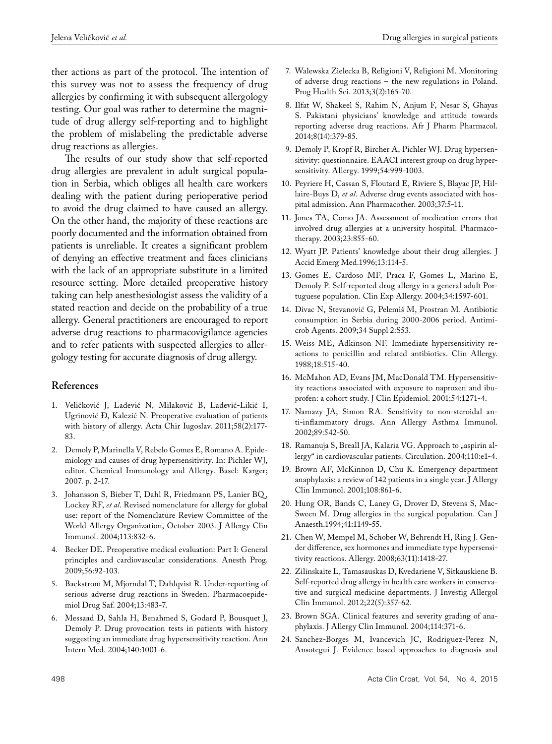ther actions as part of the protocol. The intention of this survey was not to assess the frequency of drug allergies by confirming it with subsequent allergology testing. Our goal was rather to determine the magnitude of drug allergy self-reporting and to highlight the problem of mislabeling the predictable adverse drug reactions as allergies.

The results of our study show that self-reported drug allergies are prevalent in adult surgical population in Serbia, which obliges all health care workers dealing with the patient during perioperative period to avoid the drug claimed to have caused an allergy. On the other hand, the majority of these reactions are poorly documented and the information obtained from patients is unreliable. It creates a significant problem of denying an effective treatment and faces clinicians with the lack of an appropriate substitute in a limited resource setting. More detailed preoperative history taking can help anesthesiologist assess the validity of a stated reaction and decide on the probability of a true allergy. General practitioners are encouraged to report adverse drug reactions to pharmacovigilance agencies and to refer patients with suspected allergies to allergology testing for accurate diagnosis of drug allergy.

## **References**

- 1. Veličković J, Lađević N, Milaković B, Lađević-Likić I, Ugrinović Đ, Kalezić N. Preoperative evaluation of patients with history of allergy. Acta Chir Iugoslav. 2011;58(2):177- 83.
- 2. Demoly P, Marinella V, Rebelo Gomes E, Romano A. Epidemiology and causes of drug hypersensitivity. In: Pichler WJ, editor. Chemical Immunology and Allergy. Basel: Karger; 2007. p. 2-17.
- 3. Johansson S, Bieber T, Dahl R, Friedmann PS, Lanier BQ , Lockey RF, *et al*. Revised nomenclature for allergy for global use: report of the Nomenclature Review Committee of the World Allergy Organization, October 2003. J Allergy Clin Immunol. 2004;113:832-6.
- 4. Becker DE. Preoperative medical evaluation: Part I: General principles and cardiovascular considerations. Anesth Prog. 2009;56:92-103.
- 5. Backstrom M, Mjorndal T, Dahlqvist R. Under-reporting of serious adverse drug reactions in Sweden. Pharmacoepidemiol Drug Saf. 2004;13:483-7.
- 6. Messaad D, Sahla H, Benahmed S, Godard P, Bousquet J, Demoly P. Drug provocation tests in patients with history suggesting an immediate drug hypersensitivity reaction. Ann Intern Med. 2004;140:1001-6.
- 7. Walewska Zielecka B, Religioni V, Religioni M. Monitoring of adverse drug reactions – the new regulations in Poland. Prog Health Sci. 2013;3(2):165-70.
- 8. Ilfat W, Shakeel S, Rahim N, Anjum F, Nesar S, Ghayas S. Pakistani physicians' knowledge and attitude towards reporting adverse drug reactions. Afr J Pharm Pharmacol. 2014;8(14):379-85.
- 9. Demoly P, Kropf R, Bircher A, Pichler WJ. Drug hypersensitivity: questionnaire. EAACI interest group on drug hypersensitivity. Allergy. 1999;54:999-1003.
- 10. Peyriere H, Cassan S, Floutard E, Riviere S, Blayac JP, Hillaire-Buys D, *et al*. Adverse drug events associated with hospital admission. Ann Pharmacother. 2003;37:5-11.
- 11. Jones TA, Como JA. Assessment of medication errors that involved drug allergies at a university hospital. Pharmacotherapy. 2003;23:855-60.
- 12. Wyatt JP. Patients' knowledge about their drug allergies. J Accid Emerg Med.1996;13:114-5.
- 13. Gomes E, Cardoso MF, Praca F, Gomes L, Marino E, Demoly P. Self-reported drug allergy in a general adult Portuguese population. Clin Exp Allergy. 2004;34:1597-601.
- 14. Divac N, Stevanović G, Pelemiš M, Prostran M. Antibiotic consumption in Serbia during 2000-2006 period. Antimicrob Agents. 2009;34 Suppl 2:S53.
- 15. Weiss ME, Adkinson NF. Immediate hypersensitivity reactions to penicillin and related antibiotics. Clin Allergy. 1988;18:515-40.
- 16. McMahon AD, Evans JM, MacDonald TM. Hypersensitivity reactions associated with exposure to naproxen and ibuprofen: a cohort study. J Clin Epidemiol. 2001;54:1271-4.
- 17. Namazy JA, Simon RA. Sensitivity to non-steroidal anti-inflammatory drugs. Ann Allergy Asthma Immunol. 2002;89:542-50.
- 18. Ramanuja S, Breall JA, Kalaria VG. Approach to "aspirin allergy" in cardiovascular patients. Circulation. 2004;110:e1-4.
- 19. Brown AF, McKinnon D, Chu K. Emergency department anaphylaxis: a review of 142 patients in a single year. J Allergy Clin Immunol. 2001;108:861-6.
- 20. Hung OR, Bands C, Laney G, Drover D, Stevens S, Mac-Sween M. Drug allergies in the surgical population. Can J Anaesth.1994;41:1149-55.
- 21. Chen W, Mempel M, Schober W, Behrendt H, Ring J. Gender difference, sex hormones and immediate type hypersensitivity reactions. Allergy. 2008;63(11):1418-27.
- 22. Zilinskaite L, Tamasauskas D, Kvedariene V, Sitkauskiene B. Self-reported drug allergy in health care workers in conservative and surgical medicine departments. J Investig Allergol Clin Immunol. 2012;22(5):357-62.
- 23. Brown SGA. Clinical features and severity grading of anaphylaxis. J Allergy Clin Immunol. 2004;114:371-6.
- 24. Sanchez-Borges M, Ivancevich JC, Rodriguez-Perez N, Ansotegui J. Evidence based approaches to diagnosis and